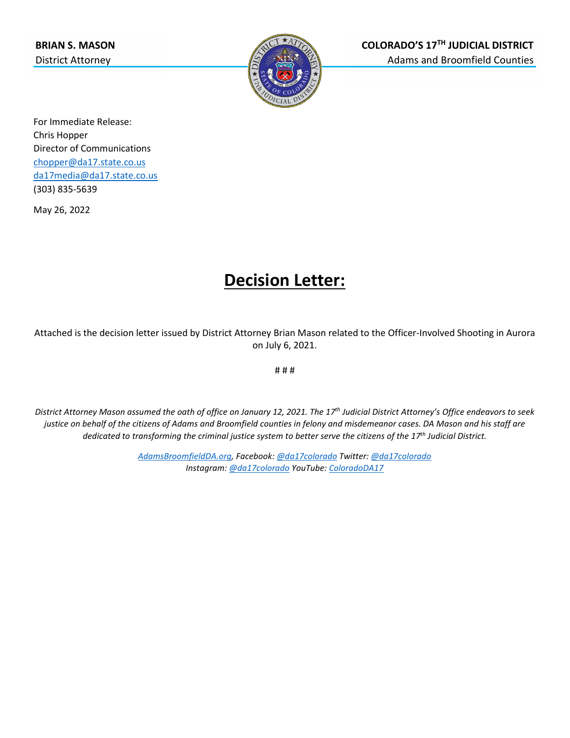

For Immediate Release: Chris Hopper Director of Communications [chopper@da17.state.co.us](mailto:chopper@da17.state.co.us) [da17media@da17.state.co.us](mailto:da17media@da17.state.co.us) (303) 835-5639

May 26, 2022

## **Decision Letter:**

Attached is the decision letter issued by District Attorney Brian Mason related to the Officer-Involved Shooting in Aurora on July 6, 2021.

# # #

*District Attorney Mason assumed the oath of office on January 12, 2021. The 17th Judicial District Attorney's Office endeavors to seek justice on behalf of the citizens of Adams and Broomfield counties in felony and misdemeanor cases. DA Mason and his staff are dedicated to transforming the criminal justice system to better serve the citizens of the 17th Judicial District.*

> *[AdamsBroomfieldDA.org,](http://www.adamsbroomfieldda.org/) Facebook[: @da17colorado](https://www.facebook.com/da17colorado) Twitter[: @da17colorado](https://twitter.com/da17colorado) Instagram: [@da17colorado](https://www.instagram.com/da17colorado/) YouTube[: ColoradoDA17](https://www.youtube.com/channel/UCFBOnArLEfiBR9cy-L8SBzA)*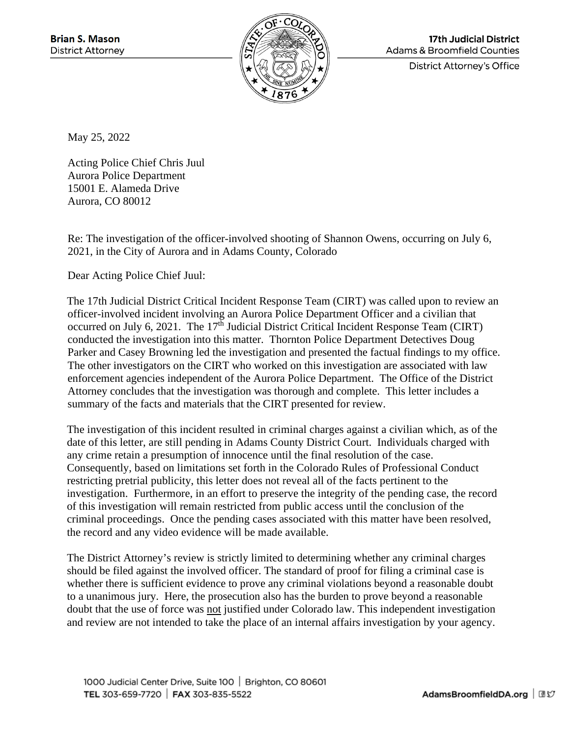

**17th Judicial District Adams & Broomfield Counties** 

**District Attorney's Office** 

May 25, 2022

Acting Police Chief Chris Juul Aurora Police Department 15001 E. Alameda Drive Aurora, CO 80012

Re: The investigation of the officer-involved shooting of Shannon Owens, occurring on July 6, 2021, in the City of Aurora and in Adams County, Colorado

Dear Acting Police Chief Juul:

The 17th Judicial District Critical Incident Response Team (CIRT) was called upon to review an officer-involved incident involving an Aurora Police Department Officer and a civilian that occurred on July 6, 2021. The 17<sup>th</sup> Judicial District Critical Incident Response Team (CIRT) conducted the investigation into this matter. Thornton Police Department Detectives Doug Parker and Casey Browning led the investigation and presented the factual findings to my office. The other investigators on the CIRT who worked on this investigation are associated with law enforcement agencies independent of the Aurora Police Department. The Office of the District Attorney concludes that the investigation was thorough and complete. This letter includes a summary of the facts and materials that the CIRT presented for review.

The investigation of this incident resulted in criminal charges against a civilian which, as of the date of this letter, are still pending in Adams County District Court. Individuals charged with any crime retain a presumption of innocence until the final resolution of the case. Consequently, based on limitations set forth in the Colorado Rules of Professional Conduct restricting pretrial publicity, this letter does not reveal all of the facts pertinent to the investigation. Furthermore, in an effort to preserve the integrity of the pending case, the record of this investigation will remain restricted from public access until the conclusion of the criminal proceedings. Once the pending cases associated with this matter have been resolved, the record and any video evidence will be made available.

The District Attorney's review is strictly limited to determining whether any criminal charges should be filed against the involved officer. The standard of proof for filing a criminal case is whether there is sufficient evidence to prove any criminal violations beyond a reasonable doubt to a unanimous jury. Here, the prosecution also has the burden to prove beyond a reasonable doubt that the use of force was not justified under Colorado law. This independent investigation and review are not intended to take the place of an internal affairs investigation by your agency.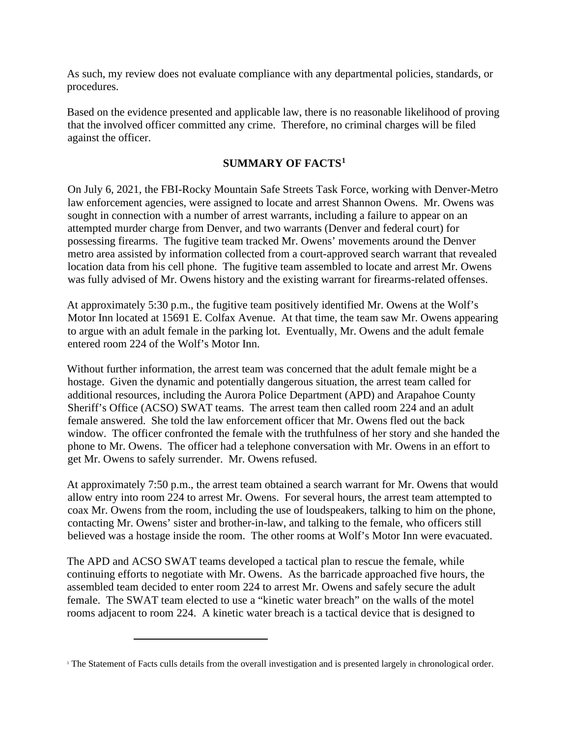As such, my review does not evaluate compliance with any departmental policies, standards, or procedures.

Based on the evidence presented and applicable law, there is no reasonable likelihood of proving that the involved officer committed any crime. Therefore, no criminal charges will be filed against the officer.

## **SUMMARY OF FACTS[1](#page-2-0)**

On July 6, 2021, the FBI-Rocky Mountain Safe Streets Task Force, working with Denver-Metro law enforcement agencies, were assigned to locate and arrest Shannon Owens. Mr. Owens was sought in connection with a number of arrest warrants, including a failure to appear on an attempted murder charge from Denver, and two warrants (Denver and federal court) for possessing firearms. The fugitive team tracked Mr. Owens' movements around the Denver metro area assisted by information collected from a court-approved search warrant that revealed location data from his cell phone. The fugitive team assembled to locate and arrest Mr. Owens was fully advised of Mr. Owens history and the existing warrant for firearms-related offenses.

At approximately 5:30 p.m., the fugitive team positively identified Mr. Owens at the Wolf's Motor Inn located at 15691 E. Colfax Avenue. At that time, the team saw Mr. Owens appearing to argue with an adult female in the parking lot. Eventually, Mr. Owens and the adult female entered room 224 of the Wolf's Motor Inn.

Without further information, the arrest team was concerned that the adult female might be a hostage. Given the dynamic and potentially dangerous situation, the arrest team called for additional resources, including the Aurora Police Department (APD) and Arapahoe County Sheriff's Office (ACSO) SWAT teams. The arrest team then called room 224 and an adult female answered. She told the law enforcement officer that Mr. Owens fled out the back window. The officer confronted the female with the truthfulness of her story and she handed the phone to Mr. Owens. The officer had a telephone conversation with Mr. Owens in an effort to get Mr. Owens to safely surrender. Mr. Owens refused.

At approximately 7:50 p.m., the arrest team obtained a search warrant for Mr. Owens that would allow entry into room 224 to arrest Mr. Owens. For several hours, the arrest team attempted to coax Mr. Owens from the room, including the use of loudspeakers, talking to him on the phone, contacting Mr. Owens' sister and brother-in-law, and talking to the female, who officers still believed was a hostage inside the room. The other rooms at Wolf's Motor Inn were evacuated.

The APD and ACSO SWAT teams developed a tactical plan to rescue the female, while continuing efforts to negotiate with Mr. Owens. As the barricade approached five hours, the assembled team decided to enter room 224 to arrest Mr. Owens and safely secure the adult female. The SWAT team elected to use a "kinetic water breach" on the walls of the motel rooms adjacent to room 224. A kinetic water breach is a tactical device that is designed to

<span id="page-2-0"></span><sup>&</sup>lt;sup>1</sup> The Statement of Facts culls details from the overall investigation and is presented largely in chronological order.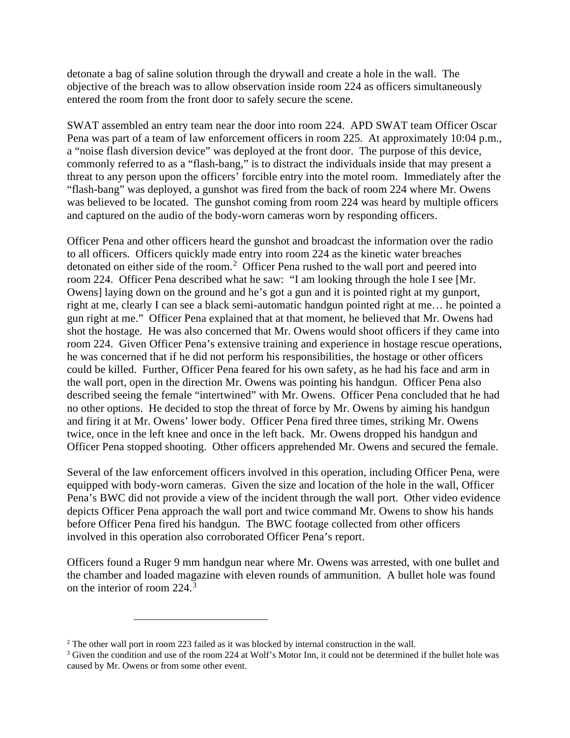detonate a bag of saline solution through the drywall and create a hole in the wall. The objective of the breach was to allow observation inside room 224 as officers simultaneously entered the room from the front door to safely secure the scene.

SWAT assembled an entry team near the door into room 224. APD SWAT team Officer Oscar Pena was part of a team of law enforcement officers in room 225. At approximately 10:04 p.m., a "noise flash diversion device" was deployed at the front door. The purpose of this device, commonly referred to as a "flash-bang," is to distract the individuals inside that may present a threat to any person upon the officers' forcible entry into the motel room. Immediately after the "flash-bang" was deployed, a gunshot was fired from the back of room 224 where Mr. Owens was believed to be located. The gunshot coming from room 224 was heard by multiple officers and captured on the audio of the body-worn cameras worn by responding officers.

Officer Pena and other officers heard the gunshot and broadcast the information over the radio to all officers. Officers quickly made entry into room 224 as the kinetic water breaches detonated on either side of the room.<sup>[2](#page-3-0)</sup> Officer Pena rushed to the wall port and peered into room 224. Officer Pena described what he saw: "I am looking through the hole I see [Mr. Owens] laying down on the ground and he's got a gun and it is pointed right at my gunport, right at me, clearly I can see a black semi-automatic handgun pointed right at me… he pointed a gun right at me." Officer Pena explained that at that moment, he believed that Mr. Owens had shot the hostage. He was also concerned that Mr. Owens would shoot officers if they came into room 224. Given Officer Pena's extensive training and experience in hostage rescue operations, he was concerned that if he did not perform his responsibilities, the hostage or other officers could be killed. Further, Officer Pena feared for his own safety, as he had his face and arm in the wall port, open in the direction Mr. Owens was pointing his handgun. Officer Pena also described seeing the female "intertwined" with Mr. Owens. Officer Pena concluded that he had no other options. He decided to stop the threat of force by Mr. Owens by aiming his handgun and firing it at Mr. Owens' lower body. Officer Pena fired three times, striking Mr. Owens twice, once in the left knee and once in the left back. Mr. Owens dropped his handgun and Officer Pena stopped shooting. Other officers apprehended Mr. Owens and secured the female.

Several of the law enforcement officers involved in this operation, including Officer Pena, were equipped with body-worn cameras. Given the size and location of the hole in the wall, Officer Pena's BWC did not provide a view of the incident through the wall port. Other video evidence depicts Officer Pena approach the wall port and twice command Mr. Owens to show his hands before Officer Pena fired his handgun. The BWC footage collected from other officers involved in this operation also corroborated Officer Pena's report.

Officers found a Ruger 9 mm handgun near where Mr. Owens was arrested, with one bullet and the chamber and loaded magazine with eleven rounds of ammunition. A bullet hole was found on the interior of room 224.[3](#page-3-1)

<span id="page-3-0"></span><sup>2</sup> The other wall port in room 223 failed as it was blocked by internal construction in the wall.

<span id="page-3-1"></span> $3$  Given the condition and use of the room 224 at Wolf's Motor Inn, it could not be determined if the bullet hole was caused by Mr. Owens or from some other event.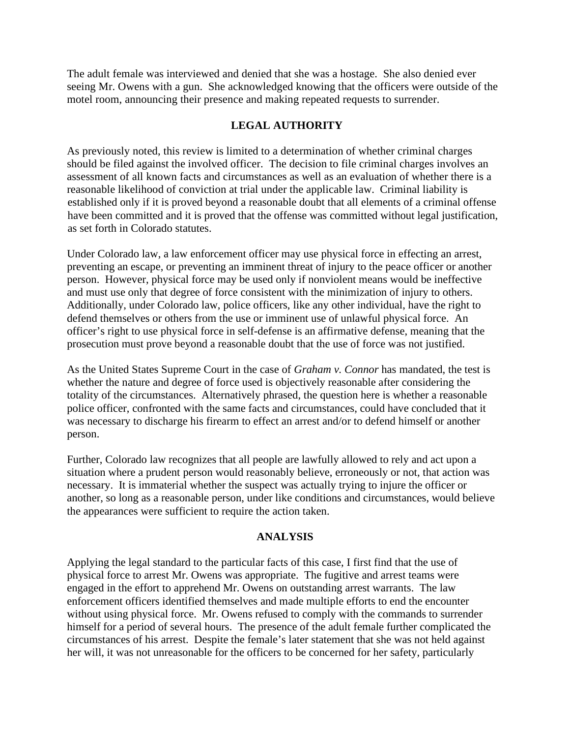The adult female was interviewed and denied that she was a hostage. She also denied ever seeing Mr. Owens with a gun. She acknowledged knowing that the officers were outside of the motel room, announcing their presence and making repeated requests to surrender.

## **LEGAL AUTHORITY**

As previously noted, this review is limited to a determination of whether criminal charges should be filed against the involved officer. The decision to file criminal charges involves an assessment of all known facts and circumstances as well as an evaluation of whether there is a reasonable likelihood of conviction at trial under the applicable law. Criminal liability is established only if it is proved beyond a reasonable doubt that all elements of a criminal offense have been committed and it is proved that the offense was committed without legal justification, as set forth in Colorado statutes.

Under Colorado law, a law enforcement officer may use physical force in effecting an arrest, preventing an escape, or preventing an imminent threat of injury to the peace officer or another person. However, physical force may be used only if nonviolent means would be ineffective and must use only that degree of force consistent with the minimization of injury to others. Additionally, under Colorado law, police officers, like any other individual, have the right to defend themselves or others from the use or imminent use of unlawful physical force. An officer's right to use physical force in self-defense is an affirmative defense, meaning that the prosecution must prove beyond a reasonable doubt that the use of force was not justified.

As the United States Supreme Court in the case of *Graham v. Connor* has mandated, the test is whether the nature and degree of force used is objectively reasonable after considering the totality of the circumstances. Alternatively phrased, the question here is whether a reasonable police officer, confronted with the same facts and circumstances, could have concluded that it was necessary to discharge his firearm to effect an arrest and/or to defend himself or another person.

Further, Colorado law recognizes that all people are lawfully allowed to rely and act upon a situation where a prudent person would reasonably believe, erroneously or not, that action was necessary. It is immaterial whether the suspect was actually trying to injure the officer or another, so long as a reasonable person, under like conditions and circumstances, would believe the appearances were sufficient to require the action taken.

## **ANALYSIS**

Applying the legal standard to the particular facts of this case, I first find that the use of physical force to arrest Mr. Owens was appropriate. The fugitive and arrest teams were engaged in the effort to apprehend Mr. Owens on outstanding arrest warrants. The law enforcement officers identified themselves and made multiple efforts to end the encounter without using physical force. Mr. Owens refused to comply with the commands to surrender himself for a period of several hours. The presence of the adult female further complicated the circumstances of his arrest. Despite the female's later statement that she was not held against her will, it was not unreasonable for the officers to be concerned for her safety, particularly